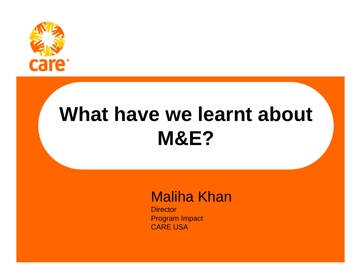

# **What have we learnt about M&E?**

#### Maliha Khan

**Director** Program Impact CARE USA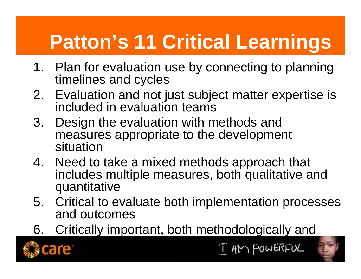# **Patton's 11 Critical Learnings**

- 1. Plan for evaluation use by connecting to planning timelines and cycles
- 2. Evaluation and not just subject matter expertise is included in evaluation teams
- 3. Design the evaluation with methods and measures appropriate to the development situation
- 4. Need to take a mixed methods approach that includes multiple measures, both qualitative and quantitative
- 5. Critical to evaluate both implementation processes and outcomes
- 6. Critically important, both methodologically and



I AM POWERFUL

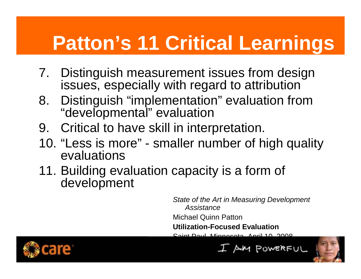# **Patton's 11 Critical Learnings**

- 7. Distinguish measurement issues from design issues, especially with regard to attribution
- 8. Distinguish "implementation" evaluation from "developmental" evaluation
- 9. Critical to have skill in interpretation.
- 10. "Less is more" smaller number of high quality evaluations
- 11. Building evaluation capacity is a form of development

*State of the Art in Measuring Development Assistance* Michael Quinn Patton **Utilization-Focused Evaluation** 

Saint Paul, Minnesota, April 10, 2008



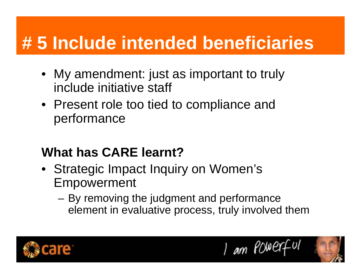## **# 5 Include intended beneficiaries**

- My amendment: just as important to truly include initiative staff
- Present role too tied to compliance and performance

#### **What has CARE learnt?**

- Strategic Impact Inquiry on Women's Empowerment
	- By removing the judgment and performance element in evaluative process, truly involved them



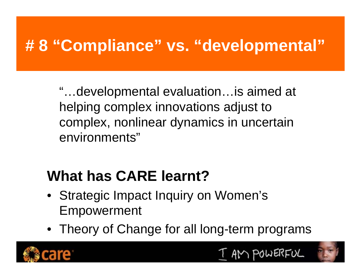## **# 8 "Compliance" vs. "developmental"**

"…developmental evaluation…is aimed at helping complex innovations adjust to complex, nonlinear dynamics in uncertain environments"

## **What has CARE learnt?**

- Strategic Impact Inquiry on Women's Empowerment
- Theory of Change for all long-term programs





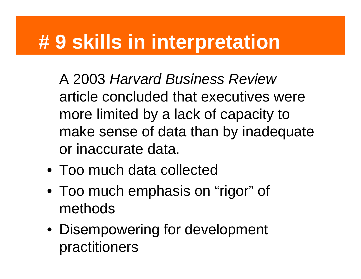## **# 9 skills in interpretation**

A 2003 *Harvard Business Review*  article concluded that executives were more limited by a lack of capacity to make sense of data than by inadequate or inaccurate data.

- Too much data collected
- Too much emphasis on "rigor" of methods
- Disempowering for development practitioners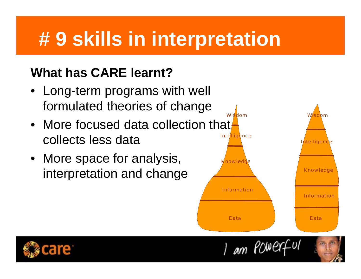# **# 9 skills in interpretation**

#### **What has CARE learnt?**

- Long-term programs with well formulated theories of change
- More focused data collection that<del>.</del> collects less data
- More space for analysis, interpretation and change



I am POWERful

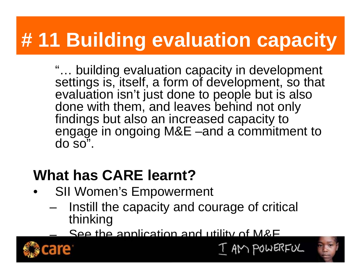# **# 11 Building evaluation capacity**

"… building evaluation capacity in development settings is, itself, a form of development, so that evaluation isn't just done to people but is also done with them, and leaves behind not only findings but also an increased capacity to engage in ongoing M&E –and a commitment to  $d$ o $\overline{so}$ ".

### **What has CARE learnt?**

- $\bullet$ SII Women's Empowerment
	- Instill the capacity and courage of critical thinking

See the application and utility of M&E



–



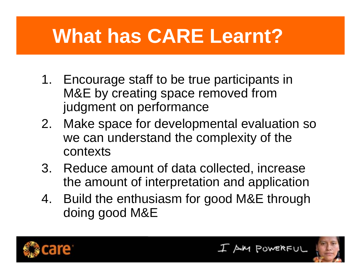# **What has CARE Learnt?**

- 1. Encourage staff to be true participants in M&E by creating space removed from judgment on performance
- 2. Make space for developmental evaluation so we can understand the complexity of the contexts
- 3. Reduce amount of data collected, increase the amount of interpretation and application
- 4. Build the enthusiasm for good M&E through doing good M&E





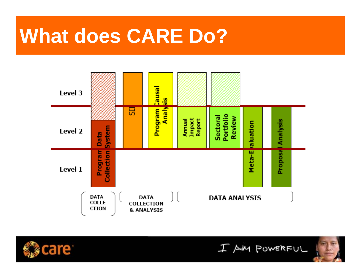## **What does CARE Do?**